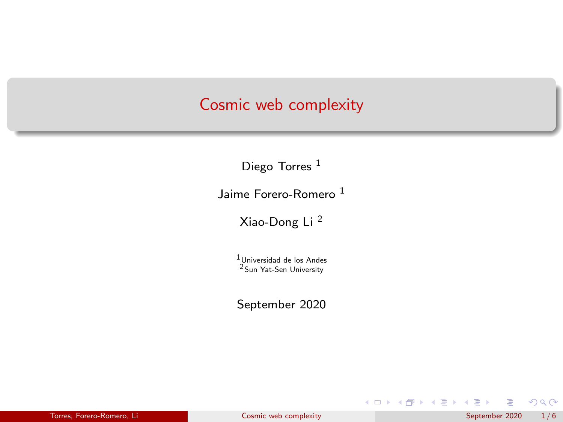### <span id="page-0-0"></span>Cosmic web complexity

Diego Torres<sup>1</sup>

Jaime Forero-Romero<sup>1</sup>

Xiao-Dong Li <sup>2</sup>

1Universidad de los Andes 2Sun Yat-Sen University

September 2020

 $299$ 

イロト イ部 トイミト イミト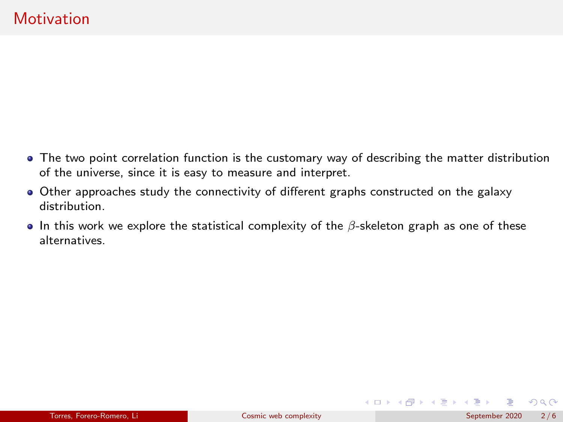- The two point correlation function is the customary way of describing the matter distribution of the universe, since it is easy to measure and interpret.
- Other approaches study the connectivity of different graphs constructed on the galaxy distribution.
- In this work we explore the statistical complexity of the  $\beta$ -skeleton graph as one of these alternatives.

 $\Omega$ 

メロトメ 御 トメ ミトメ ミト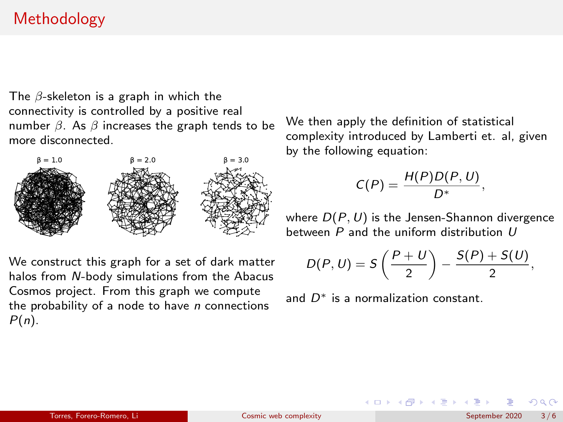# Methodology

The  $\beta$ -skeleton is a graph in which the connectivity is controlled by a positive real number  $β$ . As  $β$  increases the graph tends to be more disconnected.



We construct this graph for a set of dark matter halos from N-body simulations from the Abacus Cosmos project. From this graph we compute the probability of a node to have  $n$  connections  $P(n)$ .

We then apply the definition of statistical complexity introduced by Lamberti et. al, given by the following equation:

$$
C(P)=\frac{H(P)D(P,U)}{D^*},
$$

where  $D(P, U)$  is the Jensen-Shannon divergence between P and the uniform distribution U

$$
D(P, U) = S\left(\frac{P+U}{2}\right) - \frac{S(P) + S(U)}{2},
$$

イロト イ御 トイ ヨ トイ ヨ)

and  $D^*$  is a normalization constant.

 $\Omega$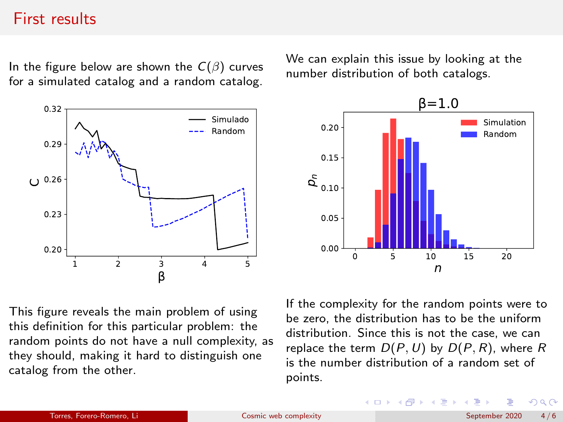#### First results

In the figure below are shown the  $C(\beta)$  curves for a simulated catalog and a random catalog.



We can explain this issue by looking at the number distribution of both catalogs.



This figure reveals the main problem of using this definition for this particular problem: the random points do not have a null complexity, as they should, making it hard to distinguish one catalog from the other.

If the complexity for the random points were to be zero, the distribution has to be the uniform distribution. Since this is not the case, we can replace the term  $D(P, U)$  by  $D(P, R)$ , where R is the number distribution of a random set of points.

 $4$  ロ }  $4$   $\overline{m}$  }  $4$   $\overline{m}$  }  $4$   $\overline{m}$ 

 $\Omega$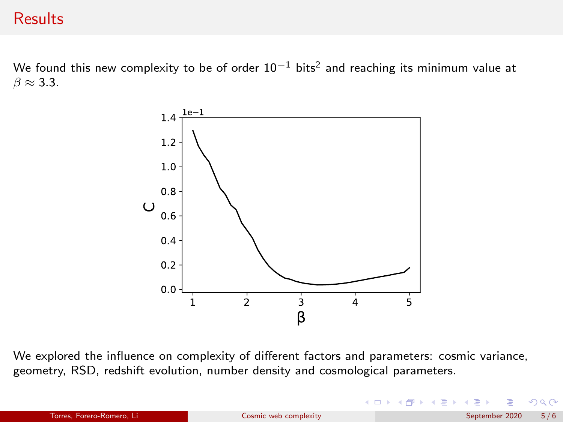## **Results**

We found this new complexity to be of order  $10^{-1}$  bits<sup>2</sup> and reaching its minimum value at  $\beta \approx 3.3$ .



We explored the influence on complexity of different factors and parameters: cosmic variance, geometry, RSD, redshift evolution, number density and cosmological parameters.

 $299$ 

 $4$  ロ }  $4$   $6$  }  $4$   $\equiv$  }  $4$